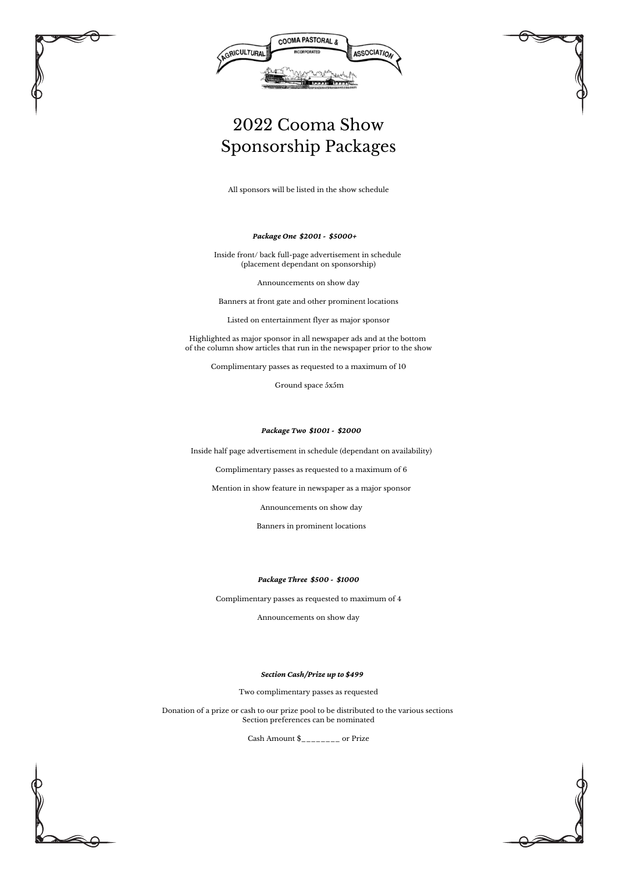



## 2022 Cooma Show Sponsorship Packages

## *Package One \$2001 - \$5000+*

Inside front/ back full-page advertisement in schedule (placement dependant on sponsorship)

Announcements on show day

Banners at front gate and other prominent locations

Listed on entertainment flyer as major sponsor

Highlighted as major sponsor in all newspaper ads and at the bottom of the column show articles that run in the newspaper prior to the show

Complimentary passes as requested to a maximum of 10

Ground space 5x5m

Inside half page advertisement in schedule (dependant on availability)

Complimentary passes as requested to a maximum of 6

Mention in show feature in newspaper as a major sponsor

Announcements on show day

Banners in prominent locations

*Package Two \$1001 - \$2000*

## *Package Three \$500 - \$1000*

Complimentary passes as requested to maximum of 4

Announcements on show day

All sponsors will be listed in the show schedule

## *Section Cash/Prize up to \$499*

Two complimentary passes as requested

Donation of a prize or cash to our prize pool to be distributed to the various sections Section preferences can be nominated

Cash Amount \$\_\_\_\_\_\_\_\_ or Prize